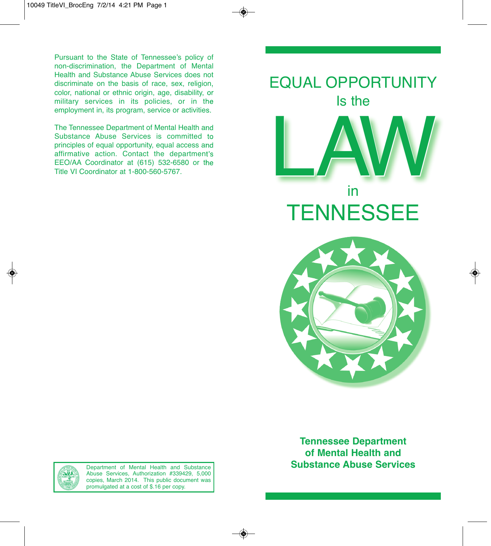Pursuant to the State of Tennessee's policy of non-discrimination, the Department of Mental Health and Substance Abuse Services does not discriminate on the basis of race, sex, religion, color, national or ethnic origin, age, disability, or military services in its policies, or in the employment in, its program, service or activities.

The Tennessee Department of Mental Health and Substance Abuse Services is committed to principles of equal opportunity, equal access and affirmative action. Contact the department's EEO/AA Coordinator at (615) 532-6580 or the Title VI Coordinator at 1-800-560-5767.





**Tennessee Department of Mental Health and Substance Abuse Services**



Department of Mental Health and Substance Abuse Services, Authorization #339429, 5,000 copies, March 2014. This public document was promulgated at a cost of \$.16 per copy.